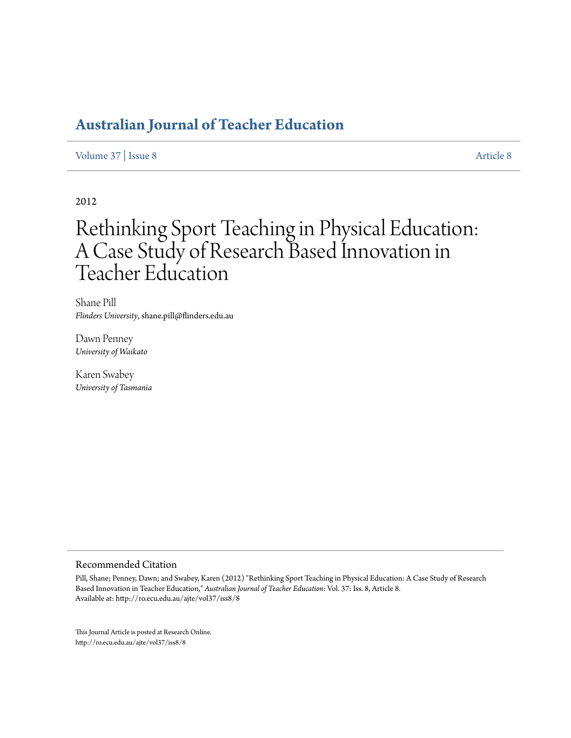# **[Australian Journal of Teacher Education](http://ro.ecu.edu.au/ajte)**

[Volume 37](http://ro.ecu.edu.au/ajte/vol37) | [Issue 8](http://ro.ecu.edu.au/ajte/vol37/iss8) [Article 8](http://ro.ecu.edu.au/ajte/vol37/iss8/8)

2012

# Rethinking Sport Teaching in Physical Education: A Case Study of Research Based Innovation in Teacher Education

Shane Pill *Flinders University*, shane.pill@flinders.edu.au

Dawn Penney *University of Waikato*

Karen Swabey *University of Tasmania*

#### Recommended Citation

Pill, Shane; Penney, Dawn; and Swabey, Karen (2012) "Rethinking Sport Teaching in Physical Education: A Case Study of Research Based Innovation in Teacher Education," *Australian Journal of Teacher Education*: Vol. 37: Iss. 8, Article 8. Available at: http://ro.ecu.edu.au/ajte/vol37/iss8/8

This Journal Article is posted at Research Online. http://ro.ecu.edu.au/ajte/vol37/iss8/8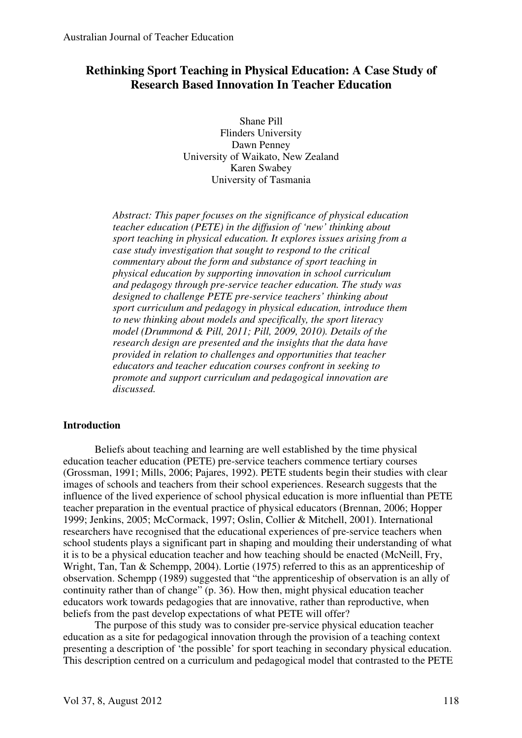# **Rethinking Sport Teaching in Physical Education: A Case Study of Research Based Innovation In Teacher Education**

Shane Pill Flinders University Dawn Penney University of Waikato, New Zealand Karen Swabey University of Tasmania

*Abstract: This paper focuses on the significance of physical education teacher education (PETE) in the diffusion of 'new' thinking about sport teaching in physical education. It explores issues arising from a case study investigation that sought to respond to the critical commentary about the form and substance of sport teaching in physical education by supporting innovation in school curriculum and pedagogy through pre-service teacher education. The study was designed to challenge PETE pre-service teachers' thinking about sport curriculum and pedagogy in physical education, introduce them to new thinking about models and specifically, the sport literacy model (Drummond & Pill, 2011; Pill, 2009, 2010). Details of the research design are presented and the insights that the data have provided in relation to challenges and opportunities that teacher educators and teacher education courses confront in seeking to promote and support curriculum and pedagogical innovation are discussed.* 

#### **Introduction**

Beliefs about teaching and learning are well established by the time physical education teacher education (PETE) pre-service teachers commence tertiary courses (Grossman, 1991; Mills, 2006; Pajares, 1992). PETE students begin their studies with clear images of schools and teachers from their school experiences. Research suggests that the influence of the lived experience of school physical education is more influential than PETE teacher preparation in the eventual practice of physical educators (Brennan, 2006; Hopper 1999; Jenkins, 2005; McCormack, 1997; Oslin, Collier & Mitchell, 2001). International researchers have recognised that the educational experiences of pre-service teachers when school students plays a significant part in shaping and moulding their understanding of what it is to be a physical education teacher and how teaching should be enacted (McNeill, Fry, Wright, Tan, Tan & Schempp, 2004). Lortie (1975) referred to this as an apprenticeship of observation. Schempp (1989) suggested that "the apprenticeship of observation is an ally of continuity rather than of change" (p. 36). How then, might physical education teacher educators work towards pedagogies that are innovative, rather than reproductive, when beliefs from the past develop expectations of what PETE will offer?

The purpose of this study was to consider pre-service physical education teacher education as a site for pedagogical innovation through the provision of a teaching context presenting a description of 'the possible' for sport teaching in secondary physical education. This description centred on a curriculum and pedagogical model that contrasted to the PETE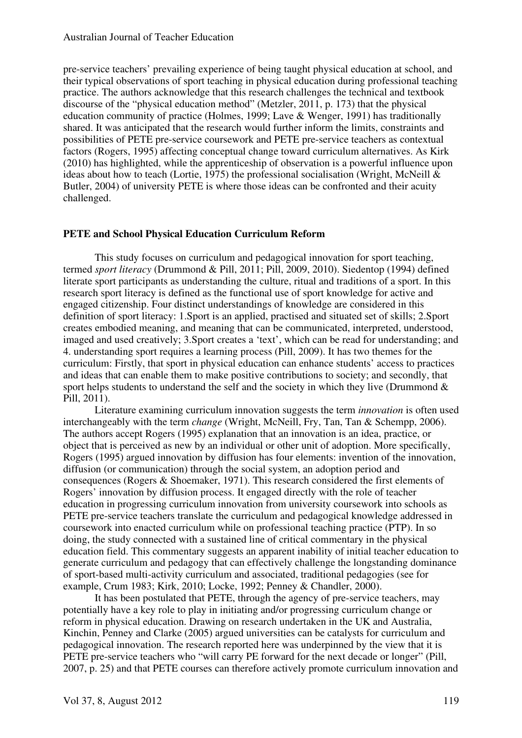#### Australian Journal of Teacher Education

pre-service teachers' prevailing experience of being taught physical education at school, and their typical observations of sport teaching in physical education during professional teaching practice. The authors acknowledge that this research challenges the technical and textbook discourse of the "physical education method" (Metzler, 2011, p. 173) that the physical education community of practice (Holmes, 1999; Lave & Wenger, 1991) has traditionally shared. It was anticipated that the research would further inform the limits, constraints and possibilities of PETE pre-service coursework and PETE pre-service teachers as contextual factors (Rogers, 1995) affecting conceptual change toward curriculum alternatives. As Kirk (2010) has highlighted, while the apprenticeship of observation is a powerful influence upon ideas about how to teach (Lortie, 1975) the professional socialisation (Wright, McNeill  $\&$ Butler, 2004) of university PETE is where those ideas can be confronted and their acuity challenged.

#### **PETE and School Physical Education Curriculum Reform**

This study focuses on curriculum and pedagogical innovation for sport teaching, termed *sport literacy* (Drummond & Pill, 2011; Pill, 2009, 2010). Siedentop (1994) defined literate sport participants as understanding the culture, ritual and traditions of a sport. In this research sport literacy is defined as the functional use of sport knowledge for active and engaged citizenship. Four distinct understandings of knowledge are considered in this definition of sport literacy: 1.Sport is an applied, practised and situated set of skills; 2.Sport creates embodied meaning, and meaning that can be communicated, interpreted, understood, imaged and used creatively; 3.Sport creates a 'text', which can be read for understanding; and 4. understanding sport requires a learning process (Pill, 2009). It has two themes for the curriculum: Firstly, that sport in physical education can enhance students' access to practices and ideas that can enable them to make positive contributions to society; and secondly, that sport helps students to understand the self and the society in which they live (Drummond  $\&$ Pill, 2011).

Literature examining curriculum innovation suggests the term *innovation* is often used interchangeably with the term *change* (Wright, McNeill, Fry, Tan, Tan & Schempp, 2006). The authors accept Rogers (1995) explanation that an innovation is an idea, practice, or object that is perceived as new by an individual or other unit of adoption. More specifically, Rogers (1995) argued innovation by diffusion has four elements: invention of the innovation, diffusion (or communication) through the social system, an adoption period and consequences (Rogers & Shoemaker, 1971). This research considered the first elements of Rogers' innovation by diffusion process. It engaged directly with the role of teacher education in progressing curriculum innovation from university coursework into schools as PETE pre-service teachers translate the curriculum and pedagogical knowledge addressed in coursework into enacted curriculum while on professional teaching practice (PTP). In so doing, the study connected with a sustained line of critical commentary in the physical education field. This commentary suggests an apparent inability of initial teacher education to generate curriculum and pedagogy that can effectively challenge the longstanding dominance of sport-based multi-activity curriculum and associated, traditional pedagogies (see for example, Crum 1983; Kirk, 2010; Locke, 1992; Penney & Chandler, 2000).

It has been postulated that PETE, through the agency of pre-service teachers, may potentially have a key role to play in initiating and/or progressing curriculum change or reform in physical education. Drawing on research undertaken in the UK and Australia, Kinchin, Penney and Clarke (2005) argued universities can be catalysts for curriculum and pedagogical innovation. The research reported here was underpinned by the view that it is PETE pre-service teachers who "will carry PE forward for the next decade or longer" (Pill, 2007, p. 25) and that PETE courses can therefore actively promote curriculum innovation and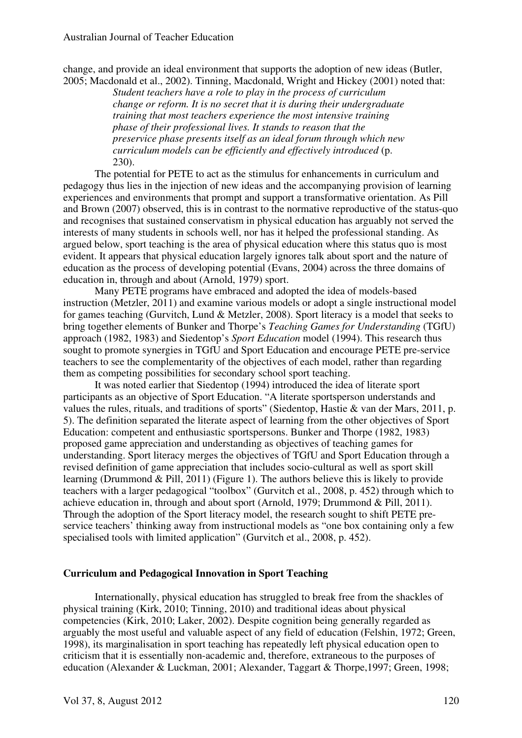change, and provide an ideal environment that supports the adoption of new ideas (Butler, 2005; Macdonald et al., 2002). Tinning, Macdonald, Wright and Hickey (2001) noted that:

*Student teachers have a role to play in the process of curriculum change or reform. It is no secret that it is during their undergraduate training that most teachers experience the most intensive training phase of their professional lives. It stands to reason that the preservice phase presents itself as an ideal forum through which new curriculum models can be efficiently and effectively introduced* (p. 230).

The potential for PETE to act as the stimulus for enhancements in curriculum and pedagogy thus lies in the injection of new ideas and the accompanying provision of learning experiences and environments that prompt and support a transformative orientation. As Pill and Brown (2007) observed, this is in contrast to the normative reproductive of the status-quo and recognises that sustained conservatism in physical education has arguably not served the interests of many students in schools well, nor has it helped the professional standing. As argued below, sport teaching is the area of physical education where this status quo is most evident. It appears that physical education largely ignores talk about sport and the nature of education as the process of developing potential (Evans, 2004) across the three domains of education in, through and about (Arnold, 1979) sport.

Many PETE programs have embraced and adopted the idea of models-based instruction (Metzler, 2011) and examine various models or adopt a single instructional model for games teaching (Gurvitch, Lund & Metzler, 2008). Sport literacy is a model that seeks to bring together elements of Bunker and Thorpe's *Teaching Games for Understanding* (TGfU) approach (1982, 1983) and Siedentop's *Sport Education* model (1994). This research thus sought to promote synergies in TGfU and Sport Education and encourage PETE pre-service teachers to see the complementarity of the objectives of each model, rather than regarding them as competing possibilities for secondary school sport teaching.

It was noted earlier that Siedentop (1994) introduced the idea of literate sport participants as an objective of Sport Education. "A literate sportsperson understands and values the rules, rituals, and traditions of sports" (Siedentop, Hastie & van der Mars, 2011, p. 5). The definition separated the literate aspect of learning from the other objectives of Sport Education: competent and enthusiastic sportspersons. Bunker and Thorpe (1982, 1983) proposed game appreciation and understanding as objectives of teaching games for understanding. Sport literacy merges the objectives of TGfU and Sport Education through a revised definition of game appreciation that includes socio-cultural as well as sport skill learning (Drummond & Pill, 2011) (Figure 1). The authors believe this is likely to provide teachers with a larger pedagogical "toolbox" (Gurvitch et al., 2008, p. 452) through which to achieve education in, through and about sport (Arnold, 1979; Drummond & Pill, 2011). Through the adoption of the Sport literacy model, the research sought to shift PETE preservice teachers' thinking away from instructional models as "one box containing only a few specialised tools with limited application" (Gurvitch et al., 2008, p. 452).

#### **Curriculum and Pedagogical Innovation in Sport Teaching**

Internationally, physical education has struggled to break free from the shackles of physical training (Kirk, 2010; Tinning, 2010) and traditional ideas about physical competencies (Kirk, 2010; Laker, 2002). Despite cognition being generally regarded as arguably the most useful and valuable aspect of any field of education (Felshin, 1972; Green, 1998), its marginalisation in sport teaching has repeatedly left physical education open to criticism that it is essentially non-academic and, therefore, extraneous to the purposes of education (Alexander & Luckman, 2001; Alexander, Taggart & Thorpe,1997; Green, 1998;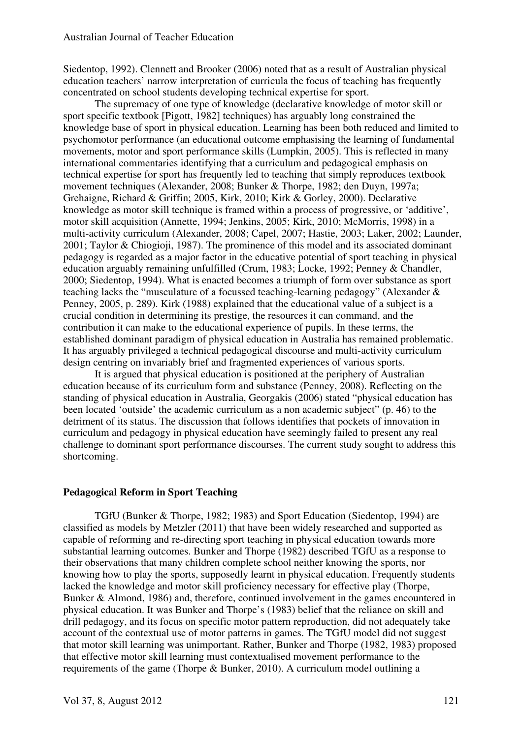Siedentop, 1992). Clennett and Brooker (2006) noted that as a result of Australian physical education teachers' narrow interpretation of curricula the focus of teaching has frequently concentrated on school students developing technical expertise for sport.

The supremacy of one type of knowledge (declarative knowledge of motor skill or sport specific textbook [Pigott, 1982] techniques) has arguably long constrained the knowledge base of sport in physical education. Learning has been both reduced and limited to psychomotor performance (an educational outcome emphasising the learning of fundamental movements, motor and sport performance skills (Lumpkin, 2005). This is reflected in many international commentaries identifying that a curriculum and pedagogical emphasis on technical expertise for sport has frequently led to teaching that simply reproduces textbook movement techniques (Alexander, 2008; Bunker & Thorpe, 1982; den Duyn, 1997a; Grehaigne, Richard & Griffin; 2005, Kirk, 2010; Kirk & Gorley, 2000). Declarative knowledge as motor skill technique is framed within a process of progressive, or 'additive', motor skill acquisition (Annette, 1994; Jenkins, 2005; Kirk, 2010; McMorris, 1998) in a multi-activity curriculum (Alexander, 2008; Capel, 2007; Hastie, 2003; Laker, 2002; Launder, 2001; Taylor & Chiogioji, 1987). The prominence of this model and its associated dominant pedagogy is regarded as a major factor in the educative potential of sport teaching in physical education arguably remaining unfulfilled (Crum, 1983; Locke, 1992; Penney & Chandler, 2000; Siedentop, 1994). What is enacted becomes a triumph of form over substance as sport teaching lacks the "musculature of a focussed teaching-learning pedagogy" (Alexander & Penney, 2005, p. 289). Kirk (1988) explained that the educational value of a subject is a crucial condition in determining its prestige, the resources it can command, and the contribution it can make to the educational experience of pupils. In these terms, the established dominant paradigm of physical education in Australia has remained problematic. It has arguably privileged a technical pedagogical discourse and multi-activity curriculum design centring on invariably brief and fragmented experiences of various sports.

It is argued that physical education is positioned at the periphery of Australian education because of its curriculum form and substance (Penney, 2008). Reflecting on the standing of physical education in Australia, Georgakis (2006) stated "physical education has been located 'outside' the academic curriculum as a non academic subject" (p. 46) to the detriment of its status. The discussion that follows identifies that pockets of innovation in curriculum and pedagogy in physical education have seemingly failed to present any real challenge to dominant sport performance discourses. The current study sought to address this shortcoming.

#### **Pedagogical Reform in Sport Teaching**

TGfU (Bunker & Thorpe, 1982; 1983) and Sport Education (Siedentop, 1994) are classified as models by Metzler (2011) that have been widely researched and supported as capable of reforming and re-directing sport teaching in physical education towards more substantial learning outcomes. Bunker and Thorpe (1982) described TGfU as a response to their observations that many children complete school neither knowing the sports, nor knowing how to play the sports, supposedly learnt in physical education. Frequently students lacked the knowledge and motor skill proficiency necessary for effective play (Thorpe, Bunker & Almond, 1986) and, therefore, continued involvement in the games encountered in physical education. It was Bunker and Thorpe's (1983) belief that the reliance on skill and drill pedagogy, and its focus on specific motor pattern reproduction, did not adequately take account of the contextual use of motor patterns in games. The TGfU model did not suggest that motor skill learning was unimportant. Rather, Bunker and Thorpe (1982, 1983) proposed that effective motor skill learning must contextualised movement performance to the requirements of the game (Thorpe & Bunker, 2010). A curriculum model outlining a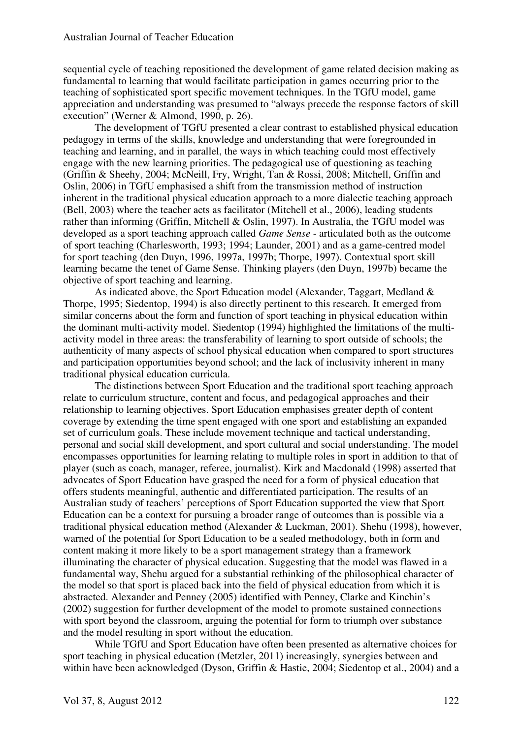sequential cycle of teaching repositioned the development of game related decision making as fundamental to learning that would facilitate participation in games occurring prior to the teaching of sophisticated sport specific movement techniques. In the TGfU model, game appreciation and understanding was presumed to "always precede the response factors of skill execution" (Werner & Almond, 1990, p. 26).

The development of TGfU presented a clear contrast to established physical education pedagogy in terms of the skills, knowledge and understanding that were foregrounded in teaching and learning, and in parallel, the ways in which teaching could most effectively engage with the new learning priorities. The pedagogical use of questioning as teaching (Griffin & Sheehy, 2004; McNeill, Fry, Wright, Tan & Rossi, 2008; Mitchell, Griffin and Oslin, 2006) in TGfU emphasised a shift from the transmission method of instruction inherent in the traditional physical education approach to a more dialectic teaching approach (Bell, 2003) where the teacher acts as facilitator (Mitchell et al., 2006), leading students rather than informing (Griffin, Mitchell & Oslin, 1997). In Australia, the TGfU model was developed as a sport teaching approach called *Game Sense* - articulated both as the outcome of sport teaching (Charlesworth, 1993; 1994; Launder, 2001) and as a game-centred model for sport teaching (den Duyn, 1996, 1997a, 1997b; Thorpe, 1997). Contextual sport skill learning became the tenet of Game Sense. Thinking players (den Duyn, 1997b) became the objective of sport teaching and learning.

As indicated above, the Sport Education model (Alexander, Taggart, Medland & Thorpe, 1995; Siedentop, 1994) is also directly pertinent to this research. It emerged from similar concerns about the form and function of sport teaching in physical education within the dominant multi-activity model. Siedentop (1994) highlighted the limitations of the multiactivity model in three areas: the transferability of learning to sport outside of schools; the authenticity of many aspects of school physical education when compared to sport structures and participation opportunities beyond school; and the lack of inclusivity inherent in many traditional physical education curricula.

The distinctions between Sport Education and the traditional sport teaching approach relate to curriculum structure, content and focus, and pedagogical approaches and their relationship to learning objectives. Sport Education emphasises greater depth of content coverage by extending the time spent engaged with one sport and establishing an expanded set of curriculum goals. These include movement technique and tactical understanding, personal and social skill development, and sport cultural and social understanding. The model encompasses opportunities for learning relating to multiple roles in sport in addition to that of player (such as coach, manager, referee, journalist). Kirk and Macdonald (1998) asserted that advocates of Sport Education have grasped the need for a form of physical education that offers students meaningful, authentic and differentiated participation. The results of an Australian study of teachers' perceptions of Sport Education supported the view that Sport Education can be a context for pursuing a broader range of outcomes than is possible via a traditional physical education method (Alexander & Luckman, 2001). Shehu (1998), however, warned of the potential for Sport Education to be a sealed methodology, both in form and content making it more likely to be a sport management strategy than a framework illuminating the character of physical education. Suggesting that the model was flawed in a fundamental way, Shehu argued for a substantial rethinking of the philosophical character of the model so that sport is placed back into the field of physical education from which it is abstracted. Alexander and Penney (2005) identified with Penney, Clarke and Kinchin's (2002) suggestion for further development of the model to promote sustained connections with sport beyond the classroom, arguing the potential for form to triumph over substance and the model resulting in sport without the education.

While TGfU and Sport Education have often been presented as alternative choices for sport teaching in physical education (Metzler, 2011) increasingly, synergies between and within have been acknowledged (Dyson, Griffin & Hastie, 2004; Siedentop et al., 2004) and a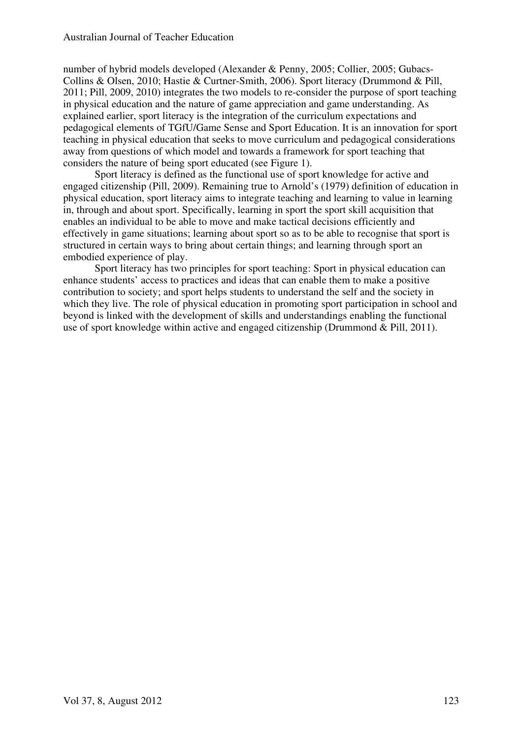number of hybrid models developed (Alexander & Penny, 2005; Collier, 2005; Gubacs-Collins & Olsen, 2010; Hastie & Curtner-Smith, 2006). Sport literacy (Drummond & Pill, 2011; Pill, 2009, 2010) integrates the two models to re-consider the purpose of sport teaching in physical education and the nature of game appreciation and game understanding. As explained earlier, sport literacy is the integration of the curriculum expectations and pedagogical elements of TGfU/Game Sense and Sport Education. It is an innovation for sport teaching in physical education that seeks to move curriculum and pedagogical considerations away from questions of which model and towards a framework for sport teaching that considers the nature of being sport educated (see Figure 1).

Sport literacy is defined as the functional use of sport knowledge for active and engaged citizenship (Pill, 2009). Remaining true to Arnold's (1979) definition of education in physical education, sport literacy aims to integrate teaching and learning to value in learning in, through and about sport. Specifically, learning in sport the sport skill acquisition that enables an individual to be able to move and make tactical decisions efficiently and effectively in game situations; learning about sport so as to be able to recognise that sport is structured in certain ways to bring about certain things; and learning through sport an embodied experience of play.

 Sport literacy has two principles for sport teaching: Sport in physical education can enhance students' access to practices and ideas that can enable them to make a positive contribution to society; and sport helps students to understand the self and the society in which they live. The role of physical education in promoting sport participation in school and beyond is linked with the development of skills and understandings enabling the functional use of sport knowledge within active and engaged citizenship (Drummond & Pill, 2011).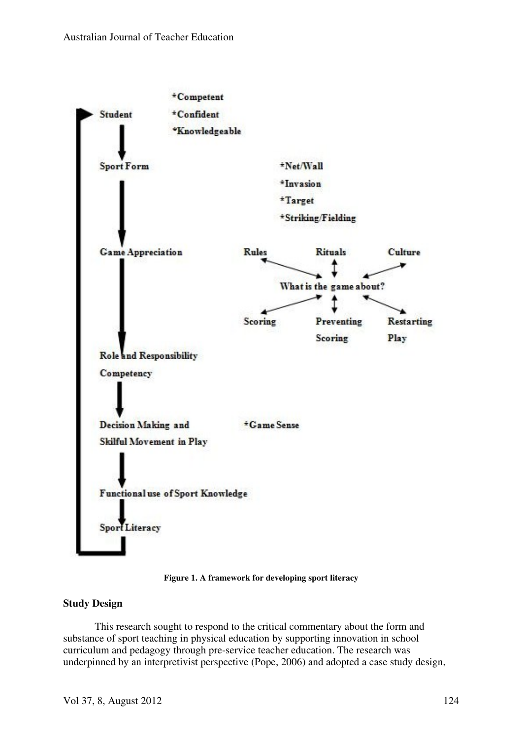

**Figure 1. A framework for developing sport literacy**

### **Study Design**

This research sought to respond to the critical commentary about the form and substance of sport teaching in physical education by supporting innovation in school curriculum and pedagogy through pre-service teacher education. The research was underpinned by an interpretivist perspective (Pope, 2006) and adopted a case study design,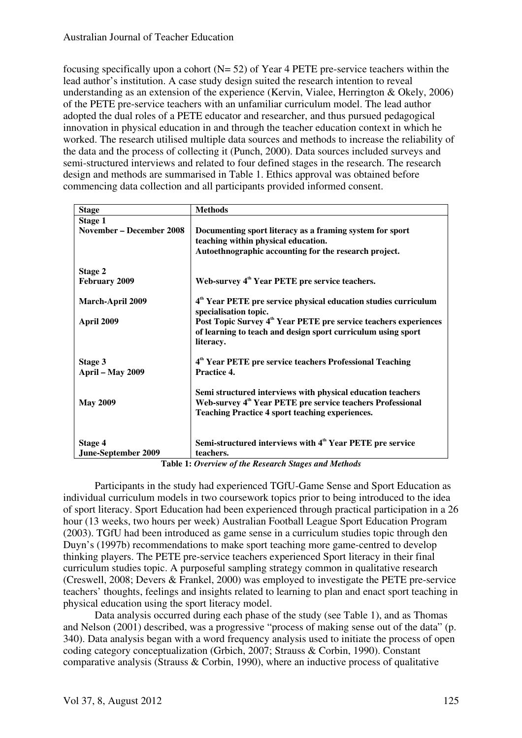focusing specifically upon a cohort  $(N= 52)$  of Year 4 PETE pre-service teachers within the lead author's institution. A case study design suited the research intention to reveal understanding as an extension of the experience (Kervin, Vialee, Herrington & Okely, 2006) of the PETE pre-service teachers with an unfamiliar curriculum model. The lead author adopted the dual roles of a PETE educator and researcher, and thus pursued pedagogical innovation in physical education in and through the teacher education context in which he worked. The research utilised multiple data sources and methods to increase the reliability of the data and the process of collecting it (Punch, 2000). Data sources included surveys and semi-structured interviews and related to four defined stages in the research. The research design and methods are summarised in Table 1. Ethics approval was obtained before commencing data collection and all participants provided informed consent.

| <b>Stage</b>                    | <b>Methods</b>                                                               |
|---------------------------------|------------------------------------------------------------------------------|
| Stage 1                         |                                                                              |
| <b>November - December 2008</b> | Documenting sport literacy as a framing system for sport                     |
|                                 | teaching within physical education.                                          |
|                                 |                                                                              |
|                                 | Autoethnographic accounting for the research project.                        |
|                                 |                                                                              |
| Stage 2                         |                                                                              |
| <b>February 2009</b>            | Web-survey 4 <sup>th</sup> Year PETE pre service teachers.                   |
|                                 |                                                                              |
| <b>March-April 2009</b>         | 4 <sup>th</sup> Year PETE pre service physical education studies curriculum  |
|                                 |                                                                              |
|                                 | specialisation topic.                                                        |
| April 2009                      | Post Topic Survey 4 <sup>th</sup> Year PETE pre service teachers experiences |
|                                 | of learning to teach and design sport curriculum using sport                 |
|                                 | literacy.                                                                    |
|                                 |                                                                              |
| Stage 3                         | 4 <sup>th</sup> Year PETE pre service teachers Professional Teaching         |
|                                 | Practice 4.                                                                  |
| April – May 2009                |                                                                              |
|                                 |                                                                              |
|                                 | Semi structured interviews with physical education teachers                  |
| <b>May 2009</b>                 | Web-survey 4 <sup>th</sup> Year PETE pre service teachers Professional       |
|                                 | <b>Teaching Practice 4 sport teaching experiences.</b>                       |
|                                 |                                                                              |
|                                 |                                                                              |
|                                 |                                                                              |
| Stage 4                         | Semi-structured interviews with 4 <sup>th</sup> Year PETE pre service        |
| <b>June-September 2009</b>      | teachers.                                                                    |

**Table 1:** *Overview of the Research Stages and Methods*

Participants in the study had experienced TGfU-Game Sense and Sport Education as individual curriculum models in two coursework topics prior to being introduced to the idea of sport literacy. Sport Education had been experienced through practical participation in a 26 hour (13 weeks, two hours per week) Australian Football League Sport Education Program (2003). TGfU had been introduced as game sense in a curriculum studies topic through den Duyn's (1997b) recommendations to make sport teaching more game-centred to develop thinking players. The PETE pre-service teachers experienced Sport literacy in their final curriculum studies topic. A purposeful sampling strategy common in qualitative research (Creswell, 2008; Devers & Frankel, 2000) was employed to investigate the PETE pre-service teachers' thoughts, feelings and insights related to learning to plan and enact sport teaching in physical education using the sport literacy model.

Data analysis occurred during each phase of the study (see Table 1), and as Thomas and Nelson (2001) described, was a progressive "process of making sense out of the data" (p. 340). Data analysis began with a word frequency analysis used to initiate the process of open coding category conceptualization (Grbich, 2007; Strauss & Corbin, 1990). Constant comparative analysis (Strauss  $&$  Corbin, 1990), where an inductive process of qualitative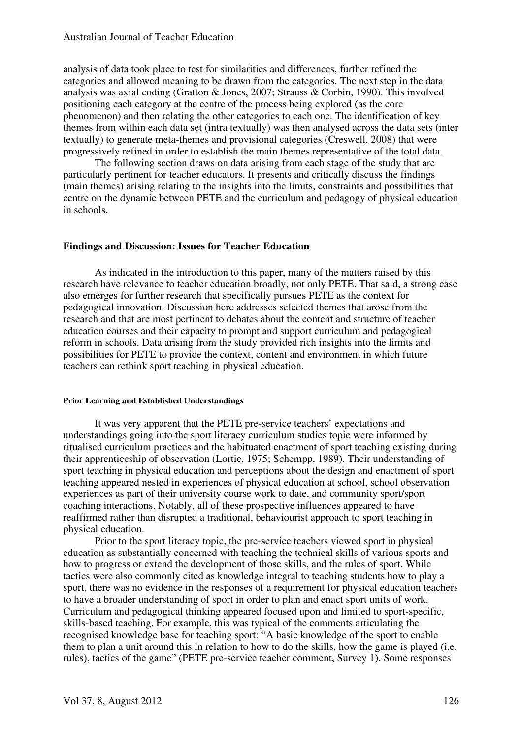#### Australian Journal of Teacher Education

analysis of data took place to test for similarities and differences, further refined the categories and allowed meaning to be drawn from the categories. The next step in the data analysis was axial coding (Gratton & Jones, 2007; Strauss & Corbin, 1990). This involved positioning each category at the centre of the process being explored (as the core phenomenon) and then relating the other categories to each one. The identification of key themes from within each data set (intra textually) was then analysed across the data sets (inter textually) to generate meta-themes and provisional categories (Creswell, 2008) that were progressively refined in order to establish the main themes representative of the total data.

The following section draws on data arising from each stage of the study that are particularly pertinent for teacher educators. It presents and critically discuss the findings (main themes) arising relating to the insights into the limits, constraints and possibilities that centre on the dynamic between PETE and the curriculum and pedagogy of physical education in schools.

#### **Findings and Discussion: Issues for Teacher Education**

As indicated in the introduction to this paper, many of the matters raised by this research have relevance to teacher education broadly, not only PETE. That said, a strong case also emerges for further research that specifically pursues PETE as the context for pedagogical innovation. Discussion here addresses selected themes that arose from the research and that are most pertinent to debates about the content and structure of teacher education courses and their capacity to prompt and support curriculum and pedagogical reform in schools. Data arising from the study provided rich insights into the limits and possibilities for PETE to provide the context, content and environment in which future teachers can rethink sport teaching in physical education.

#### **Prior Learning and Established Understandings**

It was very apparent that the PETE pre-service teachers' expectations and understandings going into the sport literacy curriculum studies topic were informed by ritualised curriculum practices and the habituated enactment of sport teaching existing during their apprenticeship of observation (Lortie, 1975; Schempp, 1989). Their understanding of sport teaching in physical education and perceptions about the design and enactment of sport teaching appeared nested in experiences of physical education at school, school observation experiences as part of their university course work to date, and community sport/sport coaching interactions. Notably, all of these prospective influences appeared to have reaffirmed rather than disrupted a traditional, behaviourist approach to sport teaching in physical education.

Prior to the sport literacy topic, the pre-service teachers viewed sport in physical education as substantially concerned with teaching the technical skills of various sports and how to progress or extend the development of those skills, and the rules of sport. While tactics were also commonly cited as knowledge integral to teaching students how to play a sport, there was no evidence in the responses of a requirement for physical education teachers to have a broader understanding of sport in order to plan and enact sport units of work. Curriculum and pedagogical thinking appeared focused upon and limited to sport-specific, skills-based teaching. For example, this was typical of the comments articulating the recognised knowledge base for teaching sport: "A basic knowledge of the sport to enable them to plan a unit around this in relation to how to do the skills, how the game is played (i.e. rules), tactics of the game" (PETE pre-service teacher comment, Survey 1). Some responses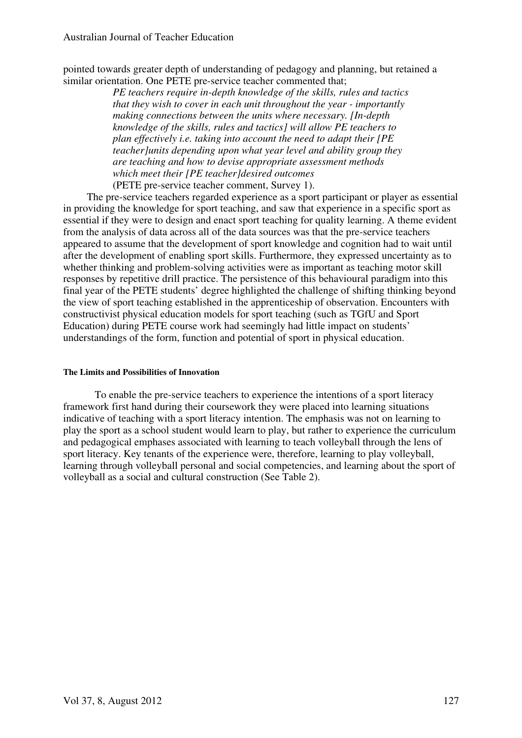pointed towards greater depth of understanding of pedagogy and planning, but retained a similar orientation. One PETE pre-service teacher commented that;

> *PE teachers require in-depth knowledge of the skills, rules and tactics that they wish to cover in each unit throughout the year - importantly making connections between the units where necessary. [In-depth knowledge of the skills, rules and tactics] will allow PE teachers to plan effectively i.e. taking into account the need to adapt their [PE teacher]units depending upon what year level and ability group they are teaching and how to devise appropriate assessment methods which meet their [PE teacher]desired outcomes*  (PETE pre-service teacher comment, Survey 1).

 The pre-service teachers regarded experience as a sport participant or player as essential in providing the knowledge for sport teaching, and saw that experience in a specific sport as essential if they were to design and enact sport teaching for quality learning. A theme evident from the analysis of data across all of the data sources was that the pre-service teachers appeared to assume that the development of sport knowledge and cognition had to wait until after the development of enabling sport skills. Furthermore, they expressed uncertainty as to whether thinking and problem-solving activities were as important as teaching motor skill responses by repetitive drill practice. The persistence of this behavioural paradigm into this final year of the PETE students' degree highlighted the challenge of shifting thinking beyond the view of sport teaching established in the apprenticeship of observation. Encounters with constructivist physical education models for sport teaching (such as TGfU and Sport Education) during PETE course work had seemingly had little impact on students' understandings of the form, function and potential of sport in physical education.

#### **The Limits and Possibilities of Innovation**

To enable the pre-service teachers to experience the intentions of a sport literacy framework first hand during their coursework they were placed into learning situations indicative of teaching with a sport literacy intention. The emphasis was not on learning to play the sport as a school student would learn to play, but rather to experience the curriculum and pedagogical emphases associated with learning to teach volleyball through the lens of sport literacy. Key tenants of the experience were, therefore, learning to play volleyball, learning through volleyball personal and social competencies, and learning about the sport of volleyball as a social and cultural construction (See Table 2).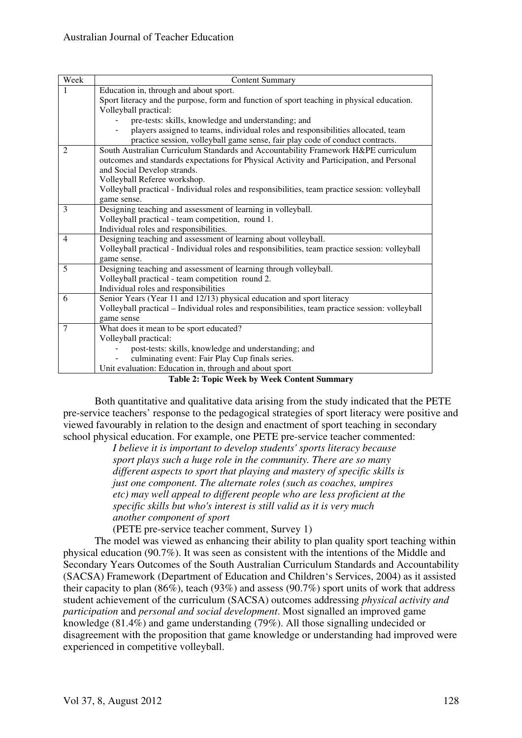| Week           | <b>Content Summary</b>                                                                                 |
|----------------|--------------------------------------------------------------------------------------------------------|
|                | Education in, through and about sport.                                                                 |
|                | Sport literacy and the purpose, form and function of sport teaching in physical education.             |
|                | Volleyball practical:                                                                                  |
|                | pre-tests: skills, knowledge and understanding; and                                                    |
|                | players assigned to teams, individual roles and responsibilities allocated, team                       |
|                | practice session, volleyball game sense, fair play code of conduct contracts.                          |
| 2              | South Australian Curriculum Standards and Accountability Framework H&PE curriculum                     |
|                | outcomes and standards expectations for Physical Activity and Participation, and Personal              |
|                | and Social Develop strands.                                                                            |
|                | Volleyball Referee workshop.                                                                           |
|                | Volleyball practical - Individual roles and responsibilities, team practice session: volleyball        |
|                | game sense.                                                                                            |
| 3              | Designing teaching and assessment of learning in volleyball.                                           |
|                | Volleyball practical - team competition, round 1.                                                      |
|                | Individual roles and responsibilities.                                                                 |
| $\overline{4}$ | Designing teaching and assessment of learning about volleyball.                                        |
|                | Volleyball practical - Individual roles and responsibilities, team practice session: volleyball        |
|                | game sense.                                                                                            |
| 5              | Designing teaching and assessment of learning through volleyball.                                      |
|                | Volleyball practical - team competition round 2.                                                       |
|                | Individual roles and responsibilities                                                                  |
| 6              | Senior Years (Year 11 and 12/13) physical education and sport literacy                                 |
|                | Volleyball practical - Individual roles and responsibilities, team practice session: volleyball        |
|                | game sense                                                                                             |
| 7              | What does it mean to be sport educated?                                                                |
|                | Volleyball practical:                                                                                  |
|                | post-tests: skills, knowledge and understanding; and                                                   |
|                | culminating event: Fair Play Cup finals series.                                                        |
|                | Unit evaluation: Education in, through and about sport<br>$T = 11.4 T + 1.7 T + 1.7 T + 1.7 T + 1.7 T$ |

**Table 2: Topic Week by Week Content Summary** 

Both quantitative and qualitative data arising from the study indicated that the PETE pre-service teachers' response to the pedagogical strategies of sport literacy were positive and viewed favourably in relation to the design and enactment of sport teaching in secondary school physical education. For example, one PETE pre-service teacher commented:

> *I believe it is important to develop students' sports literacy because sport plays such a huge role in the community. There are so many different aspects to sport that playing and mastery of specific skills is just one component. The alternate roles (such as coaches, umpires etc) may well appeal to different people who are less proficient at the specific skills but who's interest is still valid as it is very much another component of sport*

(PETE pre-service teacher comment, Survey 1)

The model was viewed as enhancing their ability to plan quality sport teaching within physical education (90.7%). It was seen as consistent with the intentions of the Middle and Secondary Years Outcomes of the South Australian Curriculum Standards and Accountability (SACSA) Framework (Department of Education and Children's Services, 2004) as it assisted their capacity to plan (86%), teach (93%) and assess (90.7%) sport units of work that address student achievement of the curriculum (SACSA) outcomes addressing *physical activity and participation* and *personal and social development*. Most signalled an improved game knowledge (81.4%) and game understanding (79%). All those signalling undecided or disagreement with the proposition that game knowledge or understanding had improved were experienced in competitive volleyball.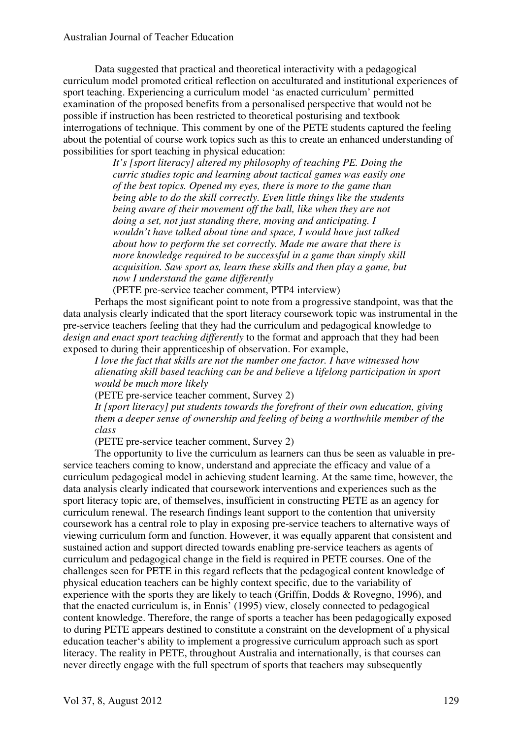Data suggested that practical and theoretical interactivity with a pedagogical curriculum model promoted critical reflection on acculturated and institutional experiences of sport teaching. Experiencing a curriculum model 'as enacted curriculum' permitted examination of the proposed benefits from a personalised perspective that would not be possible if instruction has been restricted to theoretical posturising and textbook interrogations of technique. This comment by one of the PETE students captured the feeling about the potential of course work topics such as this to create an enhanced understanding of possibilities for sport teaching in physical education:

> *It's [sport literacy] altered my philosophy of teaching PE. Doing the curric studies topic and learning about tactical games was easily one of the best topics. Opened my eyes, there is more to the game than being able to do the skill correctly. Even little things like the students being aware of their movement off the ball, like when they are not doing a set, not just standing there, moving and anticipating. I wouldn't have talked about time and space, I would have just talked about how to perform the set correctly. Made me aware that there is more knowledge required to be successful in a game than simply skill acquisition. Saw sport as, learn these skills and then play a game, but now I understand the game differently*

(PETE pre-service teacher comment, PTP4 interview)

Perhaps the most significant point to note from a progressive standpoint, was that the data analysis clearly indicated that the sport literacy coursework topic was instrumental in the pre-service teachers feeling that they had the curriculum and pedagogical knowledge to *design and enact sport teaching differently* to the format and approach that they had been exposed to during their apprenticeship of observation. For example,

*I love the fact that skills are not the number one factor. I have witnessed how alienating skill based teaching can be and believe a lifelong participation in sport would be much more likely*

(PETE pre-service teacher comment, Survey 2)

*It [sport literacy] put students towards the forefront of their own education, giving them a deeper sense of ownership and feeling of being a worthwhile member of the class*

(PETE pre-service teacher comment, Survey 2)

The opportunity to live the curriculum as learners can thus be seen as valuable in preservice teachers coming to know, understand and appreciate the efficacy and value of a curriculum pedagogical model in achieving student learning. At the same time, however, the data analysis clearly indicated that coursework interventions and experiences such as the sport literacy topic are, of themselves, insufficient in constructing PETE as an agency for curriculum renewal. The research findings leant support to the contention that university coursework has a central role to play in exposing pre-service teachers to alternative ways of viewing curriculum form and function. However, it was equally apparent that consistent and sustained action and support directed towards enabling pre-service teachers as agents of curriculum and pedagogical change in the field is required in PETE courses. One of the challenges seen for PETE in this regard reflects that the pedagogical content knowledge of physical education teachers can be highly context specific, due to the variability of experience with the sports they are likely to teach (Griffin, Dodds & Rovegno, 1996), and that the enacted curriculum is, in Ennis' (1995) view, closely connected to pedagogical content knowledge. Therefore, the range of sports a teacher has been pedagogically exposed to during PETE appears destined to constitute a constraint on the development of a physical education teacher's ability to implement a progressive curriculum approach such as sport literacy. The reality in PETE, throughout Australia and internationally, is that courses can never directly engage with the full spectrum of sports that teachers may subsequently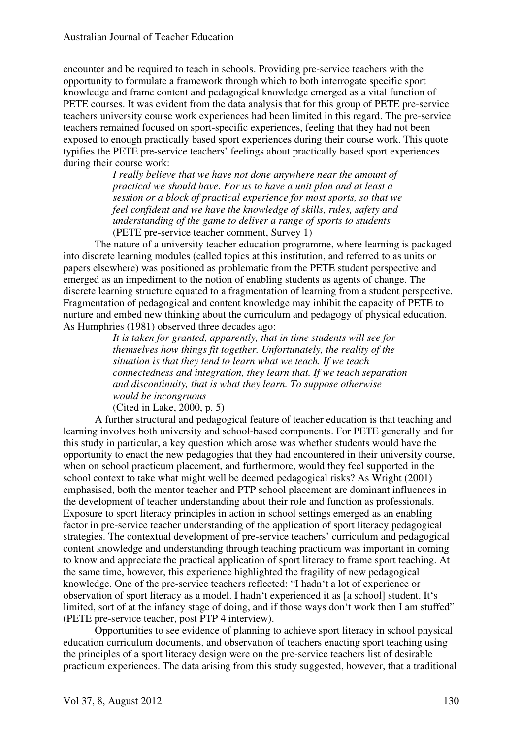encounter and be required to teach in schools. Providing pre-service teachers with the opportunity to formulate a framework through which to both interrogate specific sport knowledge and frame content and pedagogical knowledge emerged as a vital function of PETE courses. It was evident from the data analysis that for this group of PETE pre-service teachers university course work experiences had been limited in this regard. The pre-service teachers remained focused on sport-specific experiences, feeling that they had not been exposed to enough practically based sport experiences during their course work. This quote typifies the PETE pre-service teachers' feelings about practically based sport experiences during their course work:

> *I really believe that we have not done anywhere near the amount of practical we should have. For us to have a unit plan and at least a session or a block of practical experience for most sports, so that we feel confident and we have the knowledge of skills, rules, safety and understanding of the game to deliver a range of sports to students* (PETE pre-service teacher comment, Survey 1)

The nature of a university teacher education programme, where learning is packaged into discrete learning modules (called topics at this institution, and referred to as units or papers elsewhere) was positioned as problematic from the PETE student perspective and emerged as an impediment to the notion of enabling students as agents of change. The discrete learning structure equated to a fragmentation of learning from a student perspective. Fragmentation of pedagogical and content knowledge may inhibit the capacity of PETE to nurture and embed new thinking about the curriculum and pedagogy of physical education. As Humphries (1981) observed three decades ago:

> *It is taken for granted, apparently, that in time students will see for themselves how things fit together. Unfortunately, the reality of the situation is that they tend to learn what we teach. If we teach connectedness and integration, they learn that. If we teach separation and discontinuity, that is what they learn. To suppose otherwise would be incongruous*

(Cited in Lake, 2000, p. 5)

A further structural and pedagogical feature of teacher education is that teaching and learning involves both university and school-based components. For PETE generally and for this study in particular, a key question which arose was whether students would have the opportunity to enact the new pedagogies that they had encountered in their university course, when on school practicum placement, and furthermore, would they feel supported in the school context to take what might well be deemed pedagogical risks? As Wright (2001) emphasised, both the mentor teacher and PTP school placement are dominant influences in the development of teacher understanding about their role and function as professionals. Exposure to sport literacy principles in action in school settings emerged as an enabling factor in pre-service teacher understanding of the application of sport literacy pedagogical strategies. The contextual development of pre-service teachers' curriculum and pedagogical content knowledge and understanding through teaching practicum was important in coming to know and appreciate the practical application of sport literacy to frame sport teaching. At the same time, however, this experience highlighted the fragility of new pedagogical knowledge. One of the pre-service teachers reflected: "I hadn't a lot of experience or observation of sport literacy as a model. I hadn't experienced it as [a school] student. It's limited, sort of at the infancy stage of doing, and if those ways don't work then I am stuffed" (PETE pre-service teacher, post PTP 4 interview).

Opportunities to see evidence of planning to achieve sport literacy in school physical education curriculum documents, and observation of teachers enacting sport teaching using the principles of a sport literacy design were on the pre-service teachers list of desirable practicum experiences. The data arising from this study suggested, however, that a traditional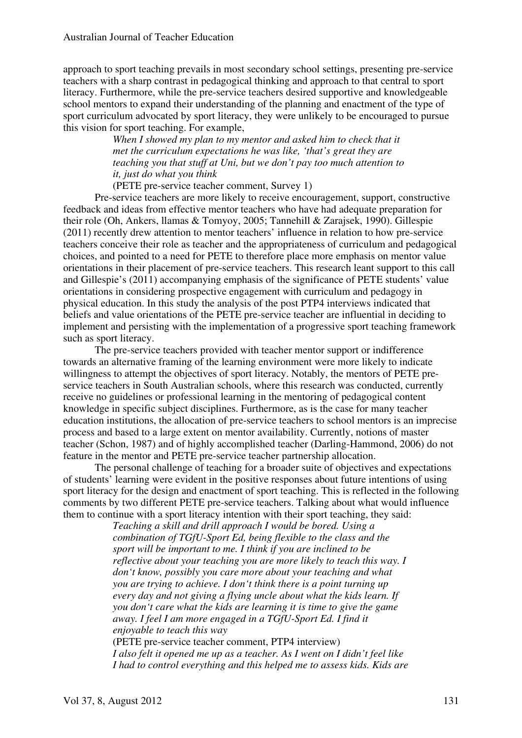approach to sport teaching prevails in most secondary school settings, presenting pre-service teachers with a sharp contrast in pedagogical thinking and approach to that central to sport literacy. Furthermore, while the pre-service teachers desired supportive and knowledgeable school mentors to expand their understanding of the planning and enactment of the type of sport curriculum advocated by sport literacy, they were unlikely to be encouraged to pursue this vision for sport teaching. For example,

> *When I showed my plan to my mentor and asked him to check that it met the curriculum expectations he was like, 'that's great they are teaching you that stuff at Uni, but we don't pay too much attention to it, just do what you think*

(PETE pre-service teacher comment, Survey 1)

Pre-service teachers are more likely to receive encouragement, support, constructive feedback and ideas from effective mentor teachers who have had adequate preparation for their role (Oh, Ankers, llamas & Tomyoy, 2005; Tannehill & Zarajsek, 1990). Gillespie (2011) recently drew attention to mentor teachers' influence in relation to how pre-service teachers conceive their role as teacher and the appropriateness of curriculum and pedagogical choices, and pointed to a need for PETE to therefore place more emphasis on mentor value orientations in their placement of pre-service teachers. This research leant support to this call and Gillespie's (2011) accompanying emphasis of the significance of PETE students' value orientations in considering prospective engagement with curriculum and pedagogy in physical education. In this study the analysis of the post PTP4 interviews indicated that beliefs and value orientations of the PETE pre-service teacher are influential in deciding to implement and persisting with the implementation of a progressive sport teaching framework such as sport literacy.

The pre-service teachers provided with teacher mentor support or indifference towards an alternative framing of the learning environment were more likely to indicate willingness to attempt the objectives of sport literacy. Notably, the mentors of PETE preservice teachers in South Australian schools, where this research was conducted, currently receive no guidelines or professional learning in the mentoring of pedagogical content knowledge in specific subject disciplines. Furthermore, as is the case for many teacher education institutions, the allocation of pre-service teachers to school mentors is an imprecise process and based to a large extent on mentor availability. Currently, notions of master teacher (Schon, 1987) and of highly accomplished teacher (Darling-Hammond, 2006) do not feature in the mentor and PETE pre-service teacher partnership allocation.

The personal challenge of teaching for a broader suite of objectives and expectations of students' learning were evident in the positive responses about future intentions of using sport literacy for the design and enactment of sport teaching. This is reflected in the following comments by two different PETE pre-service teachers. Talking about what would influence them to continue with a sport literacy intention with their sport teaching, they said:

> *Teaching a skill and drill approach I would be bored. Using a combination of TGfU-Sport Ed, being flexible to the class and the sport will be important to me. I think if you are inclined to be reflective about your teaching you are more likely to teach this way. I don't know, possibly you care more about your teaching and what you are trying to achieve. I don't think there is a point turning up every day and not giving a flying uncle about what the kids learn. If you don't care what the kids are learning it is time to give the game away. I feel I am more engaged in a TGfU-Sport Ed. I find it enjoyable to teach this way*

> (PETE pre-service teacher comment, PTP4 interview) *I also felt it opened me up as a teacher. As I went on I didn't feel like I had to control everything and this helped me to assess kids. Kids are*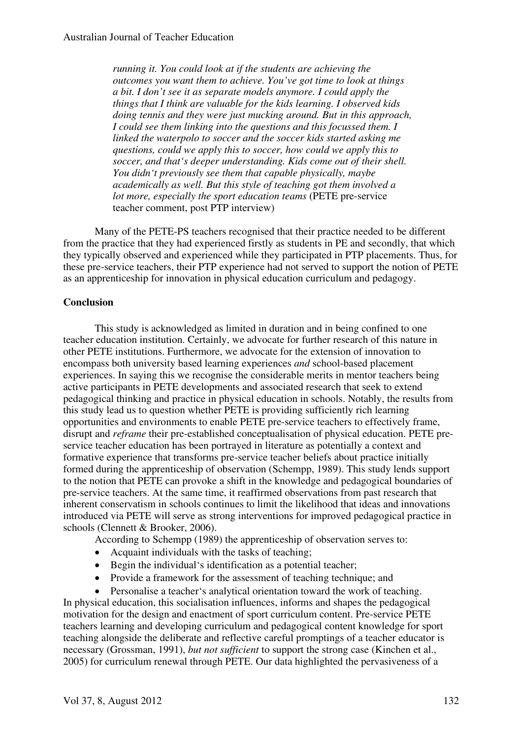*running it. You could look at if the students are achieving the outcomes you want them to achieve. You've got time to look at things a bit. I don't see it as separate models anymore. I could apply the things that I think are valuable for the kids learning. I observed kids doing tennis and they were just mucking around. But in this approach, I could see them linking into the questions and this focussed them. I linked the waterpolo to soccer and the soccer kids started asking me questions, could we apply this to soccer, how could we apply this to soccer, and that's deeper understanding. Kids come out of their shell. You didn't previously see them that capable physically, maybe academically as well. But this style of teaching got them involved a lot more, especially the sport education teams* (PETE pre-service teacher comment, post PTP interview)

Many of the PETE-PS teachers recognised that their practice needed to be different from the practice that they had experienced firstly as students in PE and secondly, that which they typically observed and experienced while they participated in PTP placements. Thus, for these pre-service teachers, their PTP experience had not served to support the notion of PETE as an apprenticeship for innovation in physical education curriculum and pedagogy.

#### **Conclusion**

This study is acknowledged as limited in duration and in being confined to one teacher education institution. Certainly, we advocate for further research of this nature in other PETE institutions. Furthermore, we advocate for the extension of innovation to encompass both university based learning experiences *and* school-based placement experiences. In saying this we recognise the considerable merits in mentor teachers being active participants in PETE developments and associated research that seek to extend pedagogical thinking and practice in physical education in schools. Notably, the results from this study lead us to question whether PETE is providing sufficiently rich learning opportunities and environments to enable PETE pre-service teachers to effectively frame, disrupt and *reframe* their pre-established conceptualisation of physical education. PETE preservice teacher education has been portrayed in literature as potentially a context and formative experience that transforms pre-service teacher beliefs about practice initially formed during the apprenticeship of observation (Schempp, 1989). This study lends support to the notion that PETE can provoke a shift in the knowledge and pedagogical boundaries of pre-service teachers. At the same time, it reaffirmed observations from past research that inherent conservatism in schools continues to limit the likelihood that ideas and innovations introduced via PETE will serve as strong interventions for improved pedagogical practice in schools (Clennett & Brooker, 2006).

According to Schempp (1989) the apprenticeship of observation serves to:

- Acquaint individuals with the tasks of teaching;
- Begin the individual's identification as a potential teacher;
- Provide a framework for the assessment of teaching technique; and
- Personalise a teacher's analytical orientation toward the work of teaching. In physical education, this socialisation influences, informs and shapes the pedagogical motivation for the design and enactment of sport curriculum content. Pre-service PETE teachers learning and developing curriculum and pedagogical content knowledge for sport teaching alongside the deliberate and reflective careful promptings of a teacher educator is necessary (Grossman, 1991), *but not sufficient* to support the strong case (Kinchen et al., 2005) for curriculum renewal through PETE. Our data highlighted the pervasiveness of a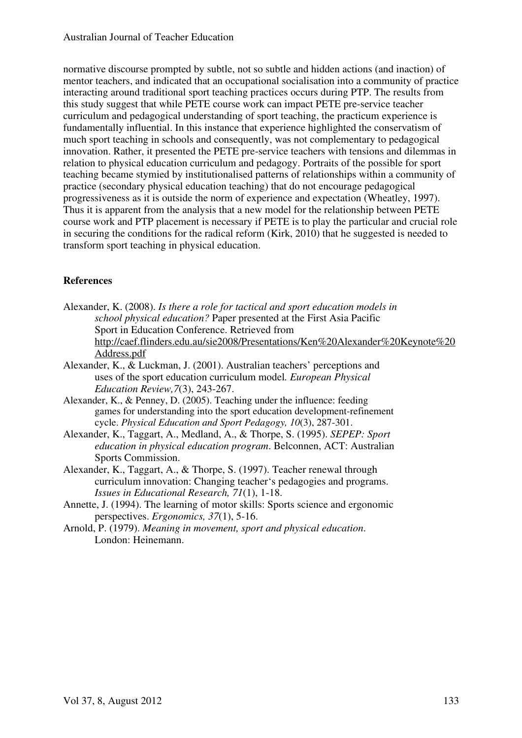normative discourse prompted by subtle, not so subtle and hidden actions (and inaction) of mentor teachers, and indicated that an occupational socialisation into a community of practice interacting around traditional sport teaching practices occurs during PTP. The results from this study suggest that while PETE course work can impact PETE pre-service teacher curriculum and pedagogical understanding of sport teaching, the practicum experience is fundamentally influential. In this instance that experience highlighted the conservatism of much sport teaching in schools and consequently, was not complementary to pedagogical innovation. Rather, it presented the PETE pre-service teachers with tensions and dilemmas in relation to physical education curriculum and pedagogy. Portraits of the possible for sport teaching became stymied by institutionalised patterns of relationships within a community of practice (secondary physical education teaching) that do not encourage pedagogical progressiveness as it is outside the norm of experience and expectation (Wheatley, 1997). Thus it is apparent from the analysis that a new model for the relationship between PETE course work and PTP placement is necessary if PETE is to play the particular and crucial role in securing the conditions for the radical reform (Kirk, 2010) that he suggested is needed to transform sport teaching in physical education.

## **References**

- Alexander, K. (2008). *Is there a role for tactical and sport education models in school physical education?* Paper presented at the First Asia Pacific Sport in Education Conference. Retrieved from http://caef.flinders.edu.au/sie2008/Presentations/Ken%20Alexander%20Keynote%20 Address.pdf
- Alexander, K., & Luckman, J. (2001). Australian teachers' perceptions and uses of the sport education curriculum model*. European Physical Education Review,7*(3), 243-267.
- Alexander, K., & Penney, D. (2005). Teaching under the influence: feeding games for understanding into the sport education development-refinement cycle. *Physical Education and Sport Pedagogy, 10*(3), 287-301.
- Alexander, K., Taggart, A., Medland, A., & Thorpe, S. (1995). *SEPEP: Sport education in physical education program*. Belconnen, ACT: Australian Sports Commission.
- Alexander, K., Taggart, A., & Thorpe, S. (1997). Teacher renewal through curriculum innovation: Changing teacher's pedagogies and programs. *Issues in Educational Research, 71*(1), 1-18.
- Annette, J. (1994). The learning of motor skills: Sports science and ergonomic perspectives. *Ergonomics, 37*(1), 5-16.
- Arnold, P. (1979). *Meaning in movement, sport and physical education*. London: Heinemann.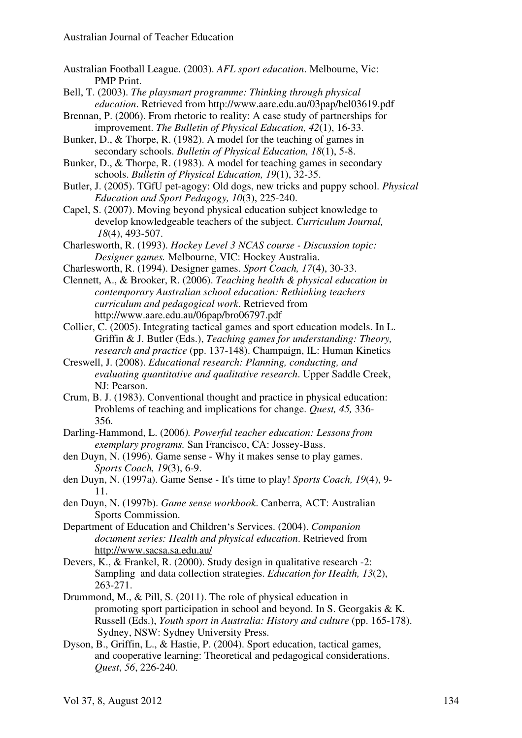- Australian Football League. (2003). *AFL sport education*. Melbourne, Vic: PMP Print.
- Bell, T. (2003). *The playsmart programme: Thinking through physical education*. Retrieved from http://www.aare.edu.au/03pap/bel03619.pdf
- Brennan, P. (2006). From rhetoric to reality: A case study of partnerships for improvement. *The Bulletin of Physical Education, 42*(1), 16-33.
- Bunker, D., & Thorpe, R. (1982). A model for the teaching of games in secondary schools. *Bulletin of Physical Education, 18*(1), 5-8.
- Bunker, D., & Thorpe, R. (1983). A model for teaching games in secondary schools. *Bulletin of Physical Education, 19*(1), 32-35.
- Butler, J. (2005). TGfU pet-agogy: Old dogs, new tricks and puppy school. *Physical Education and Sport Pedagogy, 10*(3), 225-240.
- Capel, S. (2007). Moving beyond physical education subject knowledge to develop knowledgeable teachers of the subject. *Curriculum Journal, 18*(4), 493-507.
- Charlesworth, R. (1993). *Hockey Level 3 NCAS course Discussion topic: Designer games.* Melbourne, VIC: Hockey Australia.
- Charlesworth, R. (1994). Designer games. *Sport Coach, 17*(4), 30-33.
- Clennett, A., & Brooker, R. (2006). *Teaching health & physical education in contemporary Australian school education: Rethinking teachers curriculum and pedagogical work*. Retrieved from http://www.aare.edu.au/06pap/bro06797.pdf
- Collier, C. (2005). Integrating tactical games and sport education models. In L. Griffin & J. Butler (Eds.), *Teaching games for understanding: Theory, research and practice* (pp. 137-148). Champaign, IL: Human Kinetics
- Creswell, J. (2008). *Educational research: Planning, conducting, and evaluating quantitative and qualitative research*. Upper Saddle Creek, NJ: Pearson.
- Crum, B. J. (1983). Conventional thought and practice in physical education: Problems of teaching and implications for change. *Quest, 45,* 336- 356.
- Darling-Hammond, L. (2006*). Powerful teacher education: Lessons from exemplary programs.* San Francisco, CA: Jossey-Bass.
- den Duyn, N. (1996). Game sense Why it makes sense to play games. *Sports Coach, 19*(3), 6-9.
- den Duyn, N. (1997a). Game Sense It's time to play! *Sports Coach, 19*(4), 9- 11.
- den Duyn, N. (1997b). *Game sense workbook*. Canberra, ACT: Australian Sports Commission.
- Department of Education and Children's Services. (2004). *Companion document series: Health and physical education*. Retrieved from http://www.sacsa.sa.edu.au/
- Devers, K., & Frankel, R. (2000). Study design in qualitative research -2: Sampling and data collection strategies. *Education for Health, 13*(2), 263-271.
- Drummond, M., & Pill, S. (2011). The role of physical education in promoting sport participation in school and beyond. In S. Georgakis & K. Russell (Eds.), *Youth sport in Australia: History and culture* (pp. 165-178). Sydney, NSW: Sydney University Press.
- Dyson, B., Griffin, L., & Hastie, P. (2004). Sport education, tactical games, and cooperative learning: Theoretical and pedagogical considerations. *Quest*, *56*, 226-240.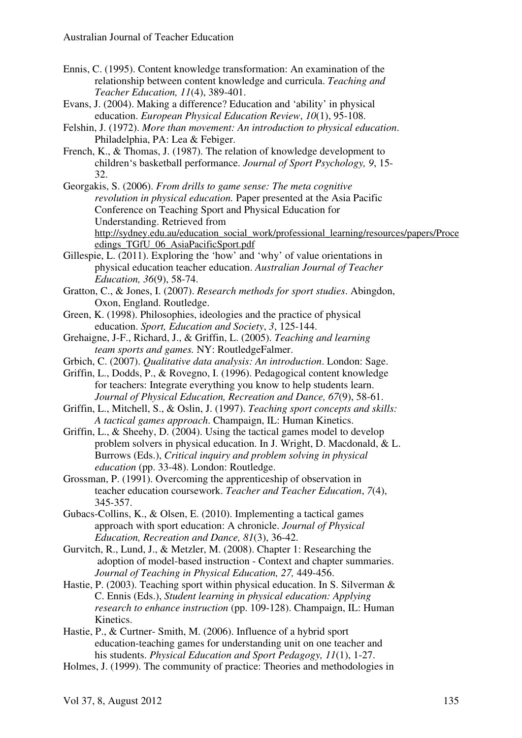- Ennis, C. (1995). Content knowledge transformation: An examination of the relationship between content knowledge and curricula. *Teaching and Teacher Education, 11*(4), 389-401.
- Evans, J. (2004). Making a difference? Education and 'ability' in physical education. *European Physical Education Review*, *10*(1), 95-108.
- Felshin, J. (1972). *More than movement: An introduction to physical education*. Philadelphia, PA: Lea & Febiger.
- French, K., & Thomas, J. (1987). The relation of knowledge development to children's basketball performance. *Journal of Sport Psychology, 9*, 15- 32.
- Georgakis, S. (2006). *From drills to game sense: The meta cognitive revolution in physical education.* Paper presented at the Asia Pacific Conference on Teaching Sport and Physical Education for Understanding. Retrieved from http://sydney.edu.au/education\_social\_work/professional\_learning/resources/papers/Proce edings\_TGfU\_06\_AsiaPacificSport.pdf
- Gillespie, L. (2011). Exploring the 'how' and 'why' of value orientations in physical education teacher education. *Australian Journal of Teacher Education, 36*(9), 58-74.
- Gratton, C., & Jones, I. (2007). *Research methods for sport studies*. Abingdon, Oxon, England. Routledge.
- Green, K. (1998). Philosophies, ideologies and the practice of physical education. *Sport, Education and Society*, *3*, 125-144.
- Grehaigne, J-F., Richard, J., & Griffin, L. (2005). *Teaching and learning team sports and games.* NY: RoutledgeFalmer.
- Grbich, C. (2007). *Qualitative data analysis: An introduction*. London: Sage.
- Griffin, L., Dodds, P., & Rovegno, I. (1996). Pedagogical content knowledge for teachers: Integrate everything you know to help students learn. *Journal of Physical Education, Recreation and Dance, 67*(9), 58-61.
- Griffin, L., Mitchell, S., & Oslin, J. (1997). *Teaching sport concepts and skills: A tactical games approach*. Champaign, IL: Human Kinetics.
- Griffin, L., & Sheehy, D. (2004). Using the tactical games model to develop problem solvers in physical education. In J. Wright, D. Macdonald, & L. Burrows (Eds.), *Critical inquiry and problem solving in physical education* (pp. 33-48). London: Routledge.
- Grossman, P. (1991). Overcoming the apprenticeship of observation in teacher education coursework. *Teacher and Teacher Education*, *7*(4), 345-357.
- Gubacs-Collins, K., & Olsen, E. (2010). Implementing a tactical games approach with sport education: A chronicle. *Journal of Physical Education, Recreation and Dance, 81*(3), 36-42.
- Gurvitch, R., Lund, J., & Metzler, M. (2008). Chapter 1: Researching the adoption of model-based instruction - Context and chapter summaries. *Journal of Teaching in Physical Education, 27,* 449-456.
- Hastie, P. (2003). Teaching sport within physical education. In S. Silverman & C. Ennis (Eds.), *Student learning in physical education: Applying research to enhance instruction* (pp. 109-128). Champaign, IL: Human Kinetics.
- Hastie, P., & Curtner- Smith, M. (2006). Influence of a hybrid sport education-teaching games for understanding unit on one teacher and his students. *Physical Education and Sport Pedagogy, 11*(1), 1-27.
- Holmes, J. (1999). The community of practice: Theories and methodologies in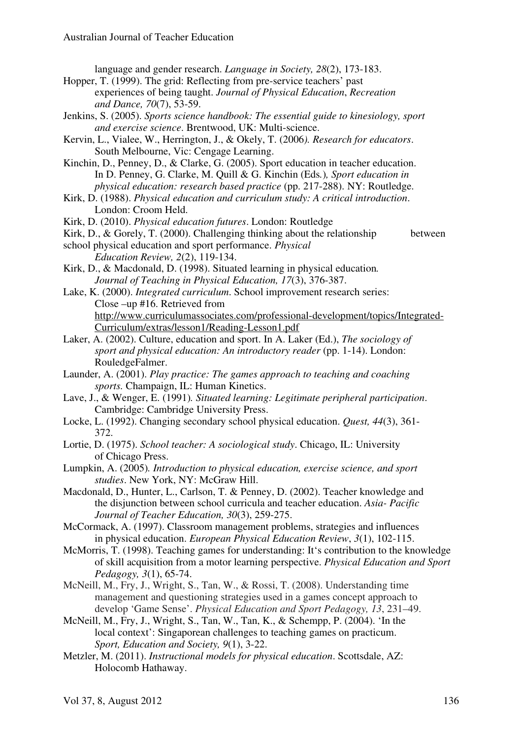language and gender research. *Language in Society, 28*(2), 173-183.

- Hopper, T. (1999). The grid: Reflecting from pre-service teachers' past experiences of being taught. *Journal of Physical Education*, *Recreation and Dance, 70*(7), 53-59.
- Jenkins, S. (2005). *Sports science handbook: The essential guide to kinesiology, sport and exercise science*. Brentwood, UK: Multi-science.
- Kervin, L., Vialee, W., Herrington, J., & Okely, T. (2006*). Research for educators*. South Melbourne, Vic: Cengage Learning.

Kinchin, D., Penney, D., & Clarke, G. (2005). Sport education in teacher education. In D. Penney, G. Clarke, M. Quill & G. Kinchin (Eds*.*)*, Sport education in physical education: research based practice* (pp. 217-288). NY: Routledge.

- Kirk, D. (1988). *Physical education and curriculum study: A critical introduction*. London: Croom Held.
- Kirk, D. (2010). *Physical education futures*. London: Routledge
- Kirk, D., & Gorely, T. (2000). Challenging thinking about the relationship between

- school physical education and sport performance. *Physical Education Review, 2*(2), 119-134.
- Kirk, D., & Macdonald, D. (1998). Situated learning in physical education*. Journal of Teaching in Physical Education, 17*(3), 376-387.
- Lake, K. (2000). *Integrated curriculum*. School improvement research series: Close –up #16. Retrieved from http://www.curriculumassociates.com/professional-development/topics/Integrated-Curriculum/extras/lesson1/Reading-Lesson1.pdf
- Laker, A. (2002). Culture, education and sport. In A. Laker (Ed.), *The sociology of sport and physical education: An introductory reader* (pp. 1-14). London: RouledgeFalmer.
- Launder, A. (2001). *Play practice: The games approach to teaching and coaching sports.* Champaign, IL: Human Kinetics.
- Lave, J., & Wenger, E. (1991)*. Situated learning: Legitimate peripheral participation*. Cambridge: Cambridge University Press.
- Locke, L. (1992). Changing secondary school physical education. *Quest, 44*(3), 361- 372.
- Lortie, D. (1975). *School teacher: A sociological study*. Chicago, IL: University of Chicago Press.
- Lumpkin, A. (2005)*. Introduction to physical education, exercise science, and sport studies*. New York, NY: McGraw Hill.
- Macdonald, D., Hunter, L., Carlson, T. & Penney, D. (2002). Teacher knowledge and the disjunction between school curricula and teacher education. *Asia- Pacific Journal of Teacher Education, 30*(3), 259-275.
- McCormack, A. (1997). Classroom management problems, strategies and influences in physical education. *European Physical Education Review*, *3*(1), 102-115.
- McMorris, T. (1998). Teaching games for understanding: It's contribution to the knowledge of skill acquisition from a motor learning perspective. *Physical Education and Sport Pedagogy, 3*(1), 65-74.
- McNeill, M., Fry, J., Wright, S., Tan, W., & Rossi, T. (2008). Understanding time management and questioning strategies used in a games concept approach to develop 'Game Sense'. *Physical Education and Sport Pedagogy, 13*, 231–49.
- McNeill, M., Fry, J., Wright, S., Tan, W., Tan, K., & Schempp, P. (2004). 'In the local context': Singaporean challenges to teaching games on practicum. *Sport, Education and Society, 9*(1), 3-22.
- Metzler, M. (2011). *Instructional models for physical education*. Scottsdale, AZ: Holocomb Hathaway.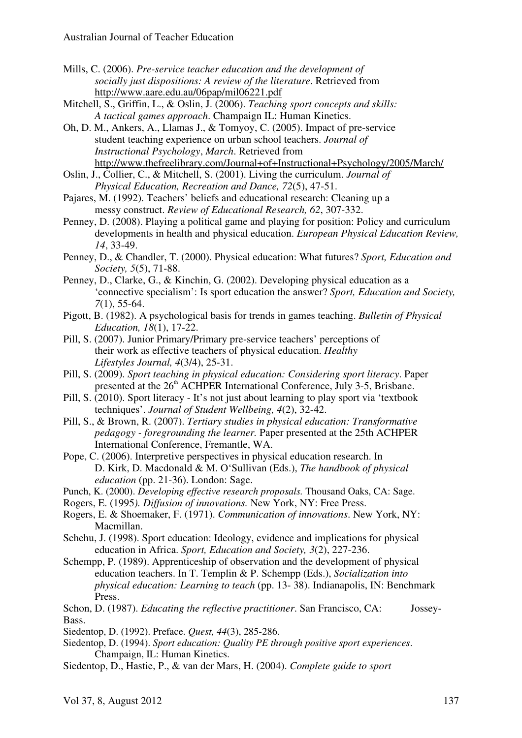Mills, C. (2006). *Pre-service teacher education and the development of socially just dispositions: A review of the literature*. Retrieved from http://www.aare.edu.au/06pap/mil06221.pdf

Mitchell, S., Griffin, L., & Oslin, J. (2006). *Teaching sport concepts and skills: A tactical games approach*. Champaign IL: Human Kinetics.

Oh, D. M., Ankers, A., Llamas J., & Tomyoy, C. (2005). Impact of pre-service student teaching experience on urban school teachers. *Journal of Instructional Psychology*, *March*. Retrieved from http://www.thefreelibrary.com/Journal+of+Instructional+Psychology/2005/March/

Oslin, J., Collier, C., & Mitchell, S. (2001). Living the curriculum. *Journal of Physical Education, Recreation and Dance, 72*(5), 47-51.

Pajares, M. (1992). Teachers' beliefs and educational research: Cleaning up a messy construct. *Review of Educational Research, 62*, 307-332.

Penney, D. (2008). Playing a political game and playing for position: Policy and curriculum developments in health and physical education. *European Physical Education Review, 14*, 33-49.

Penney, D., & Chandler, T. (2000). Physical education: What futures? *Sport, Education and Society, 5*(5), 71-88.

Penney, D., Clarke, G., & Kinchin, G. (2002). Developing physical education as a 'connective specialism': Is sport education the answer? *Sport, Education and Society, 7*(1), 55-64.

Pigott, B. (1982). A psychological basis for trends in games teaching. *Bulletin of Physical Education, 18*(1), 17-22.

Pill, S. (2007). Junior Primary/Primary pre-service teachers' perceptions of their work as effective teachers of physical education. *Healthy Lifestyles Journal, 4*(3/4), 25-31.

Pill, S. (2009). *Sport teaching in physical education: Considering sport literacy*. Paper presented at the  $26<sup>th</sup>$  ACHPER International Conference, July 3-5, Brisbane.

Pill, S. (2010). Sport literacy - It's not just about learning to play sport via 'textbook techniques'. *Journal of Student Wellbeing, 4*(2), 32-42.

Pill, S., & Brown, R. (2007). *Tertiary studies in physical education: Transformative pedagogy - foregrounding the learner.* Paper presented at the 25th ACHPER International Conference, Fremantle, WA.

Pope, C. (2006). Interpretive perspectives in physical education research. In D. Kirk, D. Macdonald & M. O'Sullivan (Eds.), *The handbook of physical education* (pp. 21-36). London: Sage.

Punch, K. (2000). *Developing effective research proposals.* Thousand Oaks, CA: Sage.

Rogers, E. (1995*). Diffusion of innovations.* New York, NY: Free Press.

Rogers, E. & Shoemaker, F. (1971). *Communication of innovations*. New York, NY: Macmillan.

Schehu, J. (1998). Sport education: Ideology, evidence and implications for physical education in Africa. *Sport, Education and Society, 3*(2), 227-236.

Schempp, P. (1989). Apprenticeship of observation and the development of physical education teachers. In T. Templin & P. Schempp (Eds.), *Socialization into physical education: Learning to teach* (pp. 13- 38). Indianapolis, IN: Benchmark Press.

Schon, D. (1987). *Educating the reflective practitioner*. San Francisco, CA: Jossey-Bass.

Siedentop, D. (1992). Preface. *Quest, 44*(3), 285-286.

Siedentop, D. (1994). *Sport education: Quality PE through positive sport experiences*. Champaign, IL: Human Kinetics.

Siedentop, D., Hastie, P., & van der Mars, H. (2004). *Complete guide to sport*